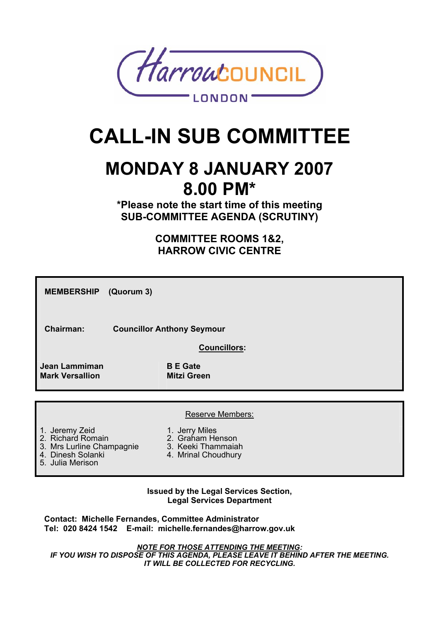

# **CALL-IN SUB COMMITTEE**

# **MONDAY 8 JANUARY 2007 8.00 PM\***

**\*Please note the start time of this meeting SUB-COMMITTEE AGENDA (SCRUTINY)** 

> **COMMITTEE ROOMS 1&2, HARROW CIVIC CENTRE**

| <b>MEMBERSHIP</b><br>(Quorum 3)                                                       |                                                                                 |
|---------------------------------------------------------------------------------------|---------------------------------------------------------------------------------|
| Chairman:                                                                             | <b>Councillor Anthony Seymour</b>                                               |
|                                                                                       | <b>Councillors:</b>                                                             |
| <b>Jean Lammiman</b><br><b>Mark Versallion</b>                                        | <b>B</b> E Gate<br><b>Mitzi Green</b>                                           |
|                                                                                       |                                                                                 |
|                                                                                       | <b>Reserve Members:</b>                                                         |
| 1. Jeremy Zeid<br>2. Richard Romain<br>3. Mrs Lurline Champagnie<br>4. Dinesh Solanki | 1. Jerry Miles<br>2. Graham Henson<br>3. Keeki Thammaiah<br>4. Mrinal Choudhury |

5. Julia Merison

#### **Issued by the Legal Services Section, Legal Services Department**

**Contact: Michelle Fernandes, Committee Administrator Tel: 020 8424 1542 E-mail: michelle.fernandes@harrow.gov.uk** 

*NOTE FOR THOSE ATTENDING THE MEETING: IF YOU WISH TO DISPOSE OF THIS AGENDA, PLEASE LEAVE IT BEHIND AFTER THE MEETING. IT WILL BE COLLECTED FOR RECYCLING.*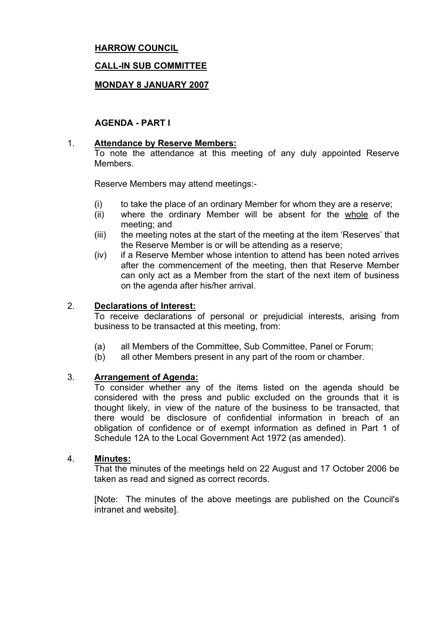# **HARROW COUNCIL**

### **CALL-IN SUB COMMITTEE**

### **MONDAY 8 JANUARY 2007**

### **AGENDA - PART I**

#### 1. **Attendance by Reserve Members:**

To note the attendance at this meeting of any duly appointed Reserve **Members** 

Reserve Members may attend meetings:-

- (i) to take the place of an ordinary Member for whom they are a reserve;
- (ii) where the ordinary Member will be absent for the whole of the meeting; and
- (iii) the meeting notes at the start of the meeting at the item 'Reserves' that the Reserve Member is or will be attending as a reserve;
- (iv) if a Reserve Member whose intention to attend has been noted arrives after the commencement of the meeting, then that Reserve Member can only act as a Member from the start of the next item of business on the agenda after his/her arrival.

#### 2. **Declarations of Interest:**

To receive declarations of personal or prejudicial interests, arising from business to be transacted at this meeting, from:

- (a) all Members of the Committee, Sub Committee, Panel or Forum;
- (b) all other Members present in any part of the room or chamber.

#### 3. **Arrangement of Agenda:**

To consider whether any of the items listed on the agenda should be considered with the press and public excluded on the grounds that it is thought likely, in view of the nature of the business to be transacted, that there would be disclosure of confidential information in breach of an obligation of confidence or of exempt information as defined in Part 1 of Schedule 12A to the Local Government Act 1972 (as amended).

#### 4. **Minutes:**

That the minutes of the meetings held on 22 August and 17 October 2006 be taken as read and signed as correct records.

[Note: The minutes of the above meetings are published on the Council's intranet and website].